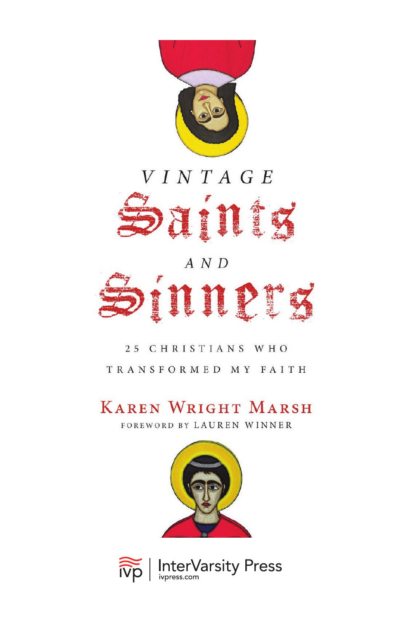

### VINTAGE



# $A N D$ nner

#### 25 CHRISTIANS WHO TRANSFORMED MY FAITH

#### **KAREN WRIGHT MARSH**

FOREWORD BY LAUREN WINNER



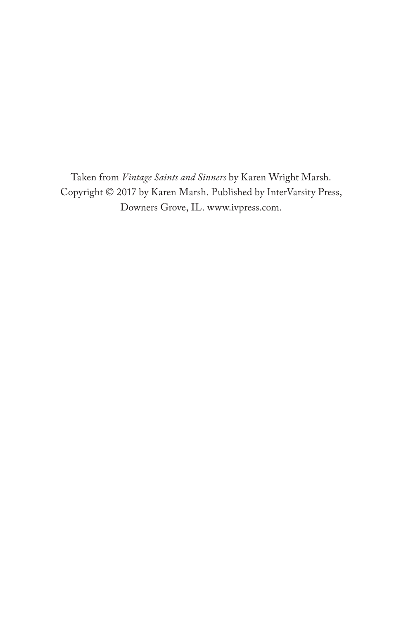Taken from *Vintage Saints and Sinners* by Karen Wright Marsh. Copyright © 2017 by Karen Marsh. Published by InterVarsity Press, Downers Grove, IL. [www.ivpress.com.](https://www.ivpress.com)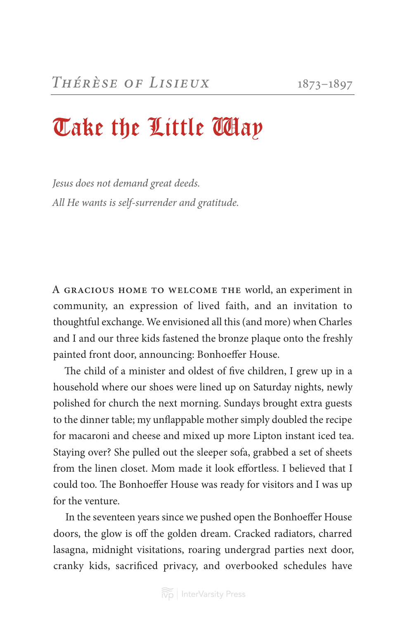## Take the Little Way

*Jesus does not demand great deeds. All He wants is self-surrender and gratitude.*

A gracious home to welcome the world, an experiment in community, an expression of lived faith, and an invitation to thoughtful exchange. We envisioned all this (and more) when Charles and I and our three kids fastened the bronze plaque onto the freshly painted front door, announcing: Bonhoeffer House.

The child of a minister and oldest of five children, I grew up in a household where our shoes were lined up on Saturday nights, newly polished for church the next morning. Sundays brought extra guests to the dinner table; my unflappable mother simply doubled the recipe for macaroni and cheese and mixed up more Lipton instant iced tea. Staying over? She pulled out the sleeper sofa, grabbed a set of sheets from the linen closet. Mom made it look effortless. I believed that I could too. The Bonhoeffer House was ready for visitors and I was up for the venture.

In the seventeen years since we pushed open the Bonhoeffer House doors, the glow is off the golden dream. Cracked radiators, charred lasagna, midnight visitations, roaring undergrad parties next door, cranky kids, sacrificed privacy, and overbooked schedules have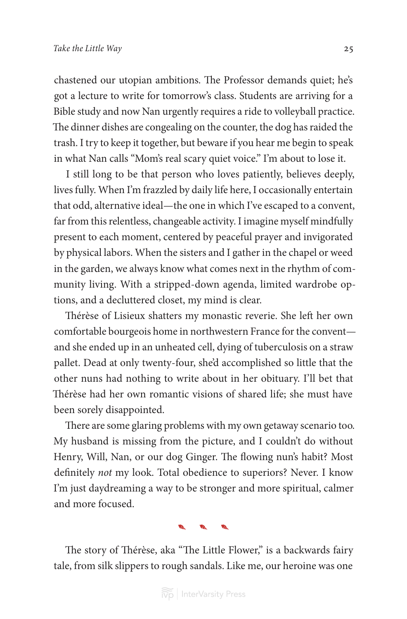chastened our utopian ambitions. The Professor demands quiet; he's got a lecture to write for tomorrow's class. Students are arriving for a Bible study and now Nan urgently requires a ride to volleyball practice. The dinner dishes are congealing on the counter, the dog has raided the trash. I try to keep it together, but beware if you hear me begin to speak in what Nan calls "Mom's real scary quiet voice." I'm about to lose it.

I still long to be that person who loves patiently, believes deeply, lives fully. When I'm frazzled by daily life here, I occasionally entertain that odd, alternative ideal—the one in which I've escaped to a convent, far from this relentless, changeable activity. I imagine myself mindfully present to each moment, centered by peaceful prayer and invigorated by physical labors. When the sisters and I gather in the chapel or weed in the garden, we always know what comes next in the rhythm of community living. With a stripped-down agenda, limited wardrobe options, and a decluttered closet, my mind is clear.

Thérèse of Lisieux shatters my monastic reverie. She left her own comfortable bourgeois home in northwestern France for the convent and she ended up in an unheated cell, dying of tuberculosis on a straw pallet. Dead at only twenty-four, she'd accomplished so little that the other nuns had nothing to write about in her obituary. I'll bet that Thérèse had her own romantic visions of shared life; she must have been sorely disappointed.

There are some glaring problems with my own getaway scenario too. My husband is missing from the picture, and I couldn't do without Henry, Will, Nan, or our dog Ginger. The flowing nun's habit? Most definitely *not* my look. Total obedience to superiors? Never. I know I'm just daydreaming a way to be stronger and more spiritual, calmer and more focused.

#### À.

The story of Thérèse, aka "The Little Flower," is a backwards fairy tale, from silk slippers to rough sandals. Like me, our heroine was one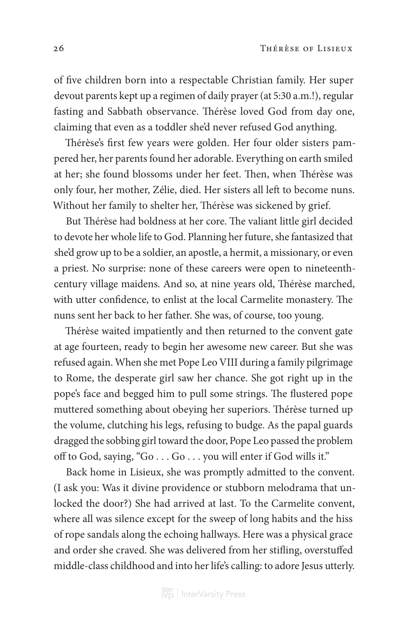of five children born into a respectable Christian family. Her super devout parents kept up a regimen of daily prayer (at 5:30 a.m.!), regular fasting and Sabbath observance. Thérèse loved God from day one, claiming that even as a toddler she'd never refused God anything.

Thérèse's first few years were golden. Her four older sisters pampered her, her parents found her adorable. Everything on earth smiled at her; she found blossoms under her feet. Then, when Thérèse was only four, her mother, Zélie, died. Her sisters all left to become nuns. Without her family to shelter her, Thérèse was sickened by grief.

But Thérèse had boldness at her core. The valiant little girl decided to devote her whole life to God. Planning her future, she fantasized that she'd grow up to be a soldier, an apostle, a hermit, a missionary, or even a priest. No surprise: none of these careers were open to nineteenthcentury village maidens. And so, at nine years old, Thérèse marched, with utter confidence, to enlist at the local Carmelite monastery. The nuns sent her back to her father. She was, of course, too young.

Thérèse waited impatiently and then returned to the convent gate at age fourteen, ready to begin her awesome new career. But she was refused again. When she met Pope Leo VIII during a family pilgrimage to Rome, the desperate girl saw her chance. She got right up in the pope's face and begged him to pull some strings. The flustered pope muttered something about obeying her superiors. Thérèse turned up the volume, clutching his legs, refusing to budge. As the papal guards dragged the sobbing girl toward the door, Pope Leo passed the problem off to God, saying, "Go . . . Go . . . you will enter if God wills it."

Back home in Lisieux, she was promptly admitted to the convent. (I ask you: Was it divine providence or stubborn melodrama that unlocked the door?) She had arrived at last. To the Carmelite convent, where all was silence except for the sweep of long habits and the hiss of rope sandals along the echoing hallways. Here was a physical grace and order she craved. She was delivered from her stifling, overstuffed middle-class childhood and into her life's calling: to adore Jesus utterly.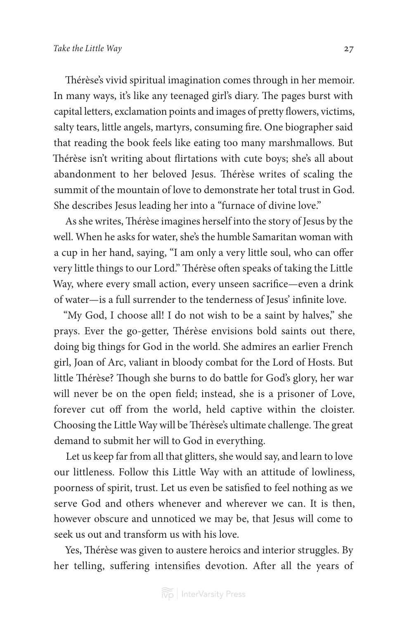Thérèse's vivid spiritual imagination comes through in her memoir. In many ways, it's like any teenaged girl's diary. The pages burst with capital letters, exclamation points and images of pretty flowers, victims, salty tears, little angels, martyrs, consuming fire. One biographer said that reading the book feels like eating too many marshmallows. But Thérèse isn't writing about flirtations with cute boys; she's all about abandonment to her beloved Jesus. Thérèse writes of scaling the summit of the mountain of love to demonstrate her total trust in God. She describes Jesus leading her into a "furnace of divine love."

As she writes, Thérèse imagines herself into the story of Jesus by the well. When he asks for water, she's the humble Samaritan woman with a cup in her hand, saying, "I am only a very little soul, who can offer very little things to our Lord." Thérèse often speaks of taking the Little Way, where every small action, every unseen sacrifice—even a drink of water—is a full surrender to the tenderness of Jesus' infinite love.

"My God, I choose all! I do not wish to be a saint by halves," she prays. Ever the go-getter, Thérèse envisions bold saints out there, doing big things for God in the world. She admires an earlier French girl, Joan of Arc, valiant in bloody combat for the Lord of Hosts. But little Thérèse? Though she burns to do battle for God's glory, her war will never be on the open field; instead, she is a prisoner of Love, forever cut off from the world, held captive within the cloister. Choosing the Little Way will be Thérèse's ultimate challenge. The great demand to submit her will to God in everything.

Let us keep far from all that glitters, she would say, and learn to love our littleness. Follow this Little Way with an attitude of lowliness, poorness of spirit, trust. Let us even be satisfied to feel nothing as we serve God and others whenever and wherever we can. It is then, however obscure and unnoticed we may be, that Jesus will come to seek us out and transform us with his love.

Yes, Thérèse was given to austere heroics and interior struggles. By her telling, suffering intensifies devotion. After all the years of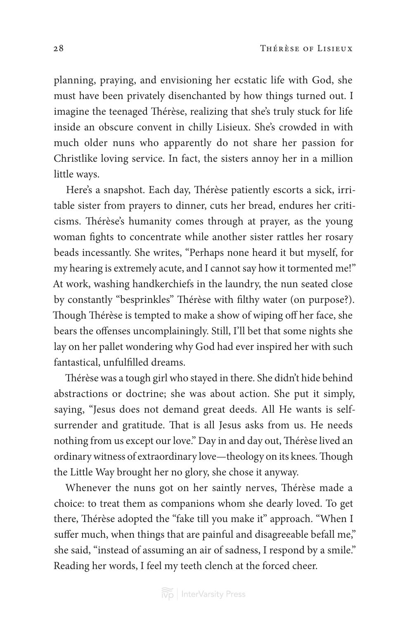planning, praying, and envisioning her ecstatic life with God, she must have been privately disenchanted by how things turned out. I imagine the teenaged Thérèse, realizing that she's truly stuck for life inside an obscure convent in chilly Lisieux. She's crowded in with much older nuns who apparently do not share her passion for Christlike loving service. In fact, the sisters annoy her in a million little ways.

Here's a snapshot. Each day, Thérèse patiently escorts a sick, irritable sister from prayers to dinner, cuts her bread, endures her criticisms. Thérèse's humanity comes through at prayer, as the young woman fights to concentrate while another sister rattles her rosary beads incessantly. She writes, "Perhaps none heard it but myself, for my hearing is extremely acute, and I cannot say how it tormented me!" At work, washing handkerchiefs in the laundry, the nun seated close by constantly "besprinkles" Thérèse with filthy water (on purpose?). Though Thérèse is tempted to make a show of wiping off her face, she bears the offenses uncomplainingly. Still, I'll bet that some nights she lay on her pallet wondering why God had ever inspired her with such fantastical, unfulfilled dreams.

Thérèse was a tough girl who stayed in there. She didn't hide behind abstractions or doctrine; she was about action. She put it simply, saying, "Jesus does not demand great deeds. All He wants is selfsurrender and gratitude. That is all Jesus asks from us. He needs nothing from us except our love." Day in and day out, Thérèse lived an ordinary witness of extraordinary love—theology on its knees. Though the Little Way brought her no glory, she chose it anyway.

Whenever the nuns got on her saintly nerves, Thérèse made a choice: to treat them as companions whom she dearly loved. To get there, Thérèse adopted the "fake till you make it" approach. "When I suffer much, when things that are painful and disagreeable befall me," she said, "instead of assuming an air of sadness, I respond by a smile." Reading her words, I feel my teeth clench at the forced cheer.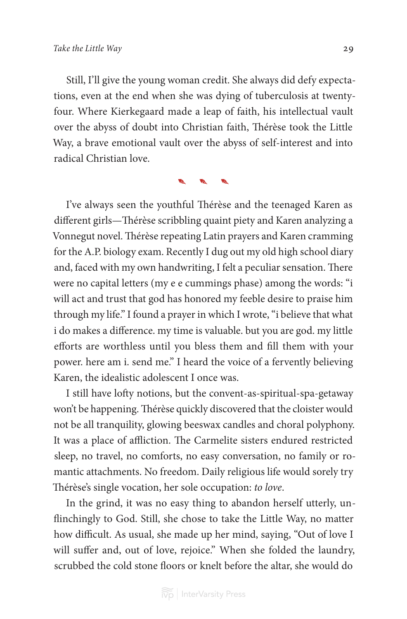Still, I'll give the young woman credit. She always did defy expectations, even at the end when she was dying of tuberculosis at twentyfour. Where Kierkegaard made a leap of faith, his intellectual vault over the abyss of doubt into Christian faith, Thérèse took the Little Way, a brave emotional vault over the abyss of self-interest and into radical Christian love.

**ALL ARE** 

I've always seen the youthful Thérèse and the teenaged Karen as different girls—Thérèse scribbling quaint piety and Karen analyzing a Vonnegut novel. Thérèse repeating Latin prayers and Karen cramming for the A.P. biology exam. Recently I dug out my old high school diary and, faced with my own handwriting, I felt a peculiar sensation. There were no capital letters (my e e cummings phase) among the words: "i will act and trust that god has honored my feeble desire to praise him through my life." I found a prayer in which I wrote, "i believe that what i do makes a difference. my time is valuable. but you are god. my little efforts are worthless until you bless them and fill them with your power. here am i. send me." I heard the voice of a fervently believing Karen, the idealistic adolescent I once was.

I still have lofty notions, but the convent-as-spiritual-spa-getaway won't be happening. Thérèse quickly discovered that the cloister would not be all tranquility, glowing beeswax candles and choral polyphony. It was a place of affliction. The Carmelite sisters endured restricted sleep, no travel, no comforts, no easy conversation, no family or romantic attachments. No freedom. Daily religious life would sorely try Thérèse's single vocation, her sole occupation: *to love*.

In the grind, it was no easy thing to abandon herself utterly, unflinchingly to God. Still, she chose to take the Little Way, no matter how difficult. As usual, she made up her mind, saying, "Out of love I will suffer and, out of love, rejoice." When she folded the laundry, scrubbed the cold stone floors or knelt before the altar, she would do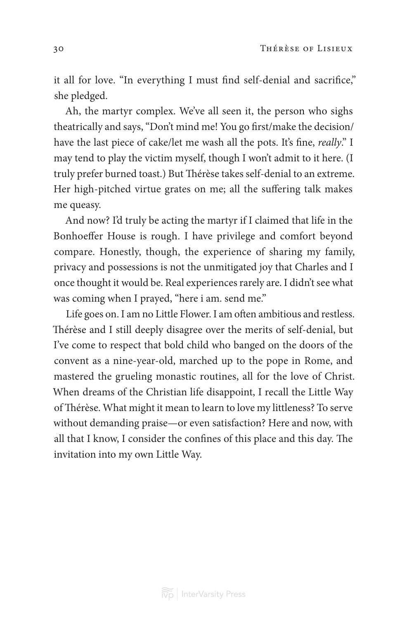it all for love. "In everything I must find self-denial and sacrifice," she pledged.

Ah, the martyr complex. We've all seen it, the person who sighs theatrically and says, "Don't mind me! You go first/make the decision/ have the last piece of cake/let me wash all the pots. It's fine, *really*." I may tend to play the victim myself, though I won't admit to it here. (I truly prefer burned toast.) But Thérèse takes self-denial to an extreme. Her high-pitched virtue grates on me; all the suffering talk makes me queasy.

And now? I'd truly be acting the martyr if I claimed that life in the Bonhoeffer House is rough. I have privilege and comfort beyond compare. Honestly, though, the experience of sharing my family, privacy and possessions is not the unmitigated joy that Charles and I once thought it would be. Real experiences rarely are. I didn't see what was coming when I prayed, "here i am. send me."

Life goes on. I am no Little Flower. I am often ambitious and restless. Thérèse and I still deeply disagree over the merits of self-denial, but I've come to respect that bold child who banged on the doors of the convent as a nine-year-old, marched up to the pope in Rome, and mastered the grueling monastic routines, all for the love of Christ. When dreams of the Christian life disappoint, I recall the Little Way of Thérèse. What might it mean to learn to love my littleness? To serve without demanding praise—or even satisfaction? Here and now, with all that I know, I consider the confines of this place and this day. The invitation into my own Little Way.